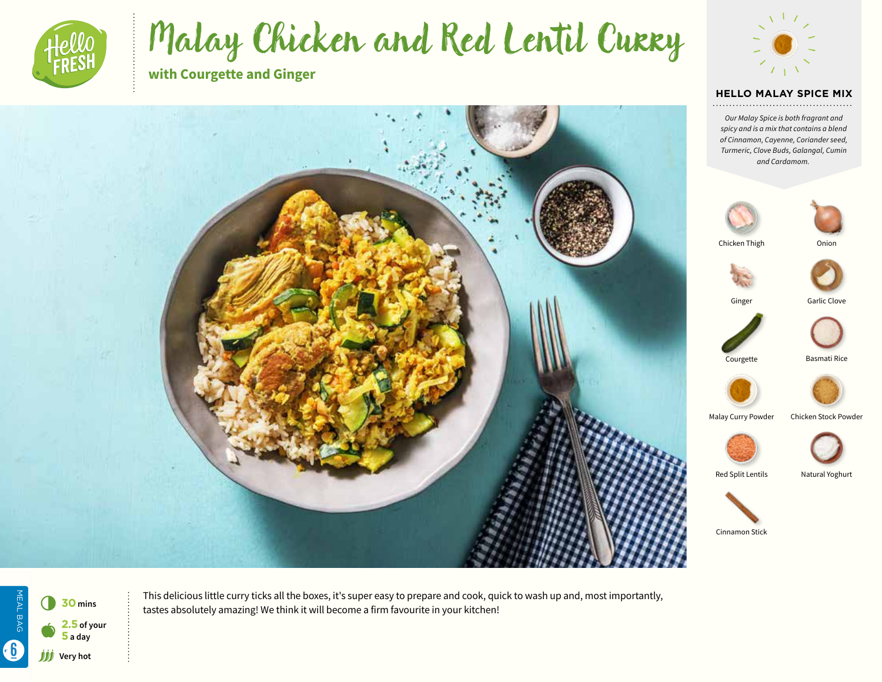

# Malay Chicken and Red Lentil Curry

**with Courgette and Ginger**





**HELLO MALAY SPICE MIX** 

*Our Malay Spice is both fragrant and spicy and is a mix that contains a blend of Cinnamon, Cayenne, Coriander seed, Turmeric, Clove Buds, Galangal, Cumin and Cardamom.*



MEAL BAG MEAL BAG 6 **<sup>30</sup> mins 2.5 of your**   $\bullet$ **5 a day 6** *iij* very hot

This delicious little curry ticks all the boxes, it's super easy to prepare and cook, quick to wash up and, most importantly, tastes absolutely amazing! We think it will become a firm favourite in your kitchen!